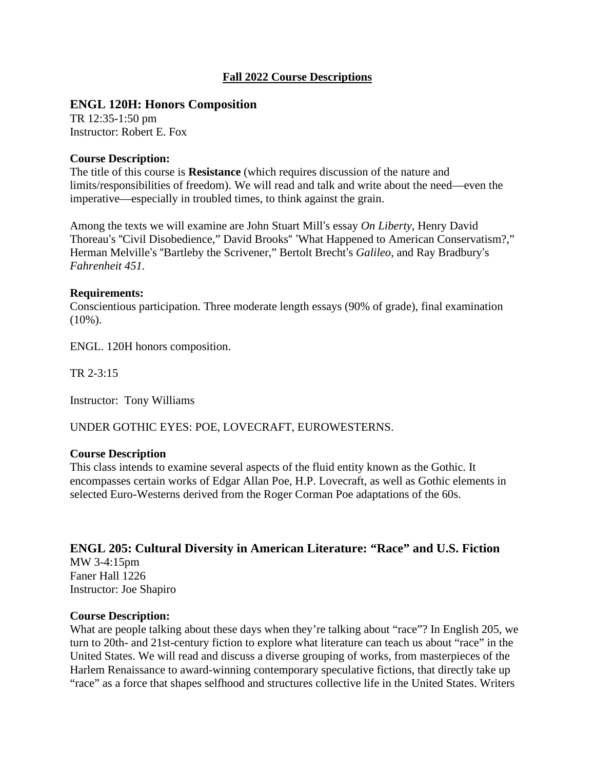## **Fall 2022 Course Descriptions**

## **ENGL 120H: Honors Composition**

TR 12:35-1:50 pm Instructor: Robert E. Fox

### **Course Description:**

The title of this course is **Resistance** (which requires discussion of the nature and limits/responsibilities of freedom). We will read and talk and write about the need—even the imperative—especially in troubled times, to think against the grain.

Among the texts we will examine are John Stuart Mill's essay *On Liberty*, Henry David Thoreau's "Civil Disobedience," David Brooks" 'What Happened to American Conservatism?," Herman Melville's "Bartleby the Scrivener," Bertolt Brecht's *Galileo*, and Ray Bradbury's *Fahrenheit 451.*

#### **Requirements:**

Conscientious participation. Three moderate length essays (90% of grade), final examination (10%).

ENGL. 120H honors composition.

TR 2-3:15

Instructor: Tony Williams

UNDER GOTHIC EYES: POE, LOVECRAFT, EUROWESTERNS.

### **Course Description**

This class intends to examine several aspects of the fluid entity known as the Gothic. It encompasses certain works of Edgar Allan Poe, H.P. Lovecraft, as well as Gothic elements in selected Euro-Westerns derived from the Roger Corman Poe adaptations of the 60s.

# **ENGL 205: Cultural Diversity in American Literature: "Race" and U.S. Fiction**

MW 3-4:15pm Faner Hall 1226 Instructor: Joe Shapiro

#### **Course Description:**

What are people talking about these days when they're talking about "race"? In English 205, we turn to 20th- and 21st-century fiction to explore what literature can teach us about "race" in the United States. We will read and discuss a diverse grouping of works, from masterpieces of the Harlem Renaissance to award-winning contemporary speculative fictions, that directly take up "race" as a force that shapes selfhood and structures collective life in the United States. Writers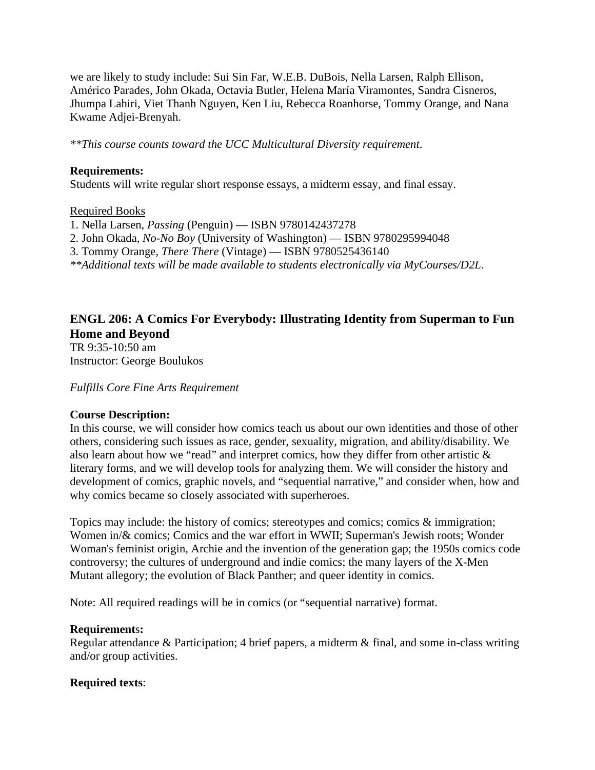we are likely to study include: Sui Sin Far, W.E.B. DuBois, Nella Larsen, Ralph Ellison, Américo Parades, John Okada, Octavia Butler, Helena María Viramontes, Sandra Cisneros, Jhumpa Lahiri, Viet Thanh Nguyen, Ken Liu, Rebecca Roanhorse, Tommy Orange, and Nana Kwame Adjei-Brenyah.

*\*\*This course counts toward the UCC Multicultural Diversity requirement*.

### **Requirements:**

Students will write regular short response essays, a midterm essay, and final essay.

### Required Books

1. Nella Larsen, *Passing* (Penguin) — ISBN 9780142437278

2. John Okada, *No-No Boy* (University of Washington) — ISBN 9780295994048

3. Tommy Orange*, There There* (Vintage) — ISBN 9780525436140

*\*\*Additional texts will be made available to students electronically via MyCourses/D2L*.

## **ENGL 206: A Comics For Everybody: Illustrating Identity from Superman to Fun Home and Beyond**

TR 9:35-10:50 am Instructor: George Boulukos

*Fulfills Core Fine Arts Requirement*

### **Course Description:**

In this course, we will consider how comics teach us about our own identities and those of other others, considering such issues as race, gender, sexuality, migration, and ability/disability. We also learn about how we "read" and interpret comics, how they differ from other artistic & literary forms, and we will develop tools for analyzing them. We will consider the history and development of comics, graphic novels, and "sequential narrative," and consider when, how and why comics became so closely associated with superheroes.

Topics may include: the history of comics; stereotypes and comics; comics & immigration; Women in/& comics; Comics and the war effort in WWII; Superman's Jewish roots; Wonder Woman's feminist origin, Archie and the invention of the generation gap; the 1950s comics code controversy; the cultures of underground and indie comics; the many layers of the X-Men Mutant allegory; the evolution of Black Panther; and queer identity in comics.

Note: All required readings will be in comics (or "sequential narrative) format.

#### **Requirement**s**:**

Regular attendance & Participation; 4 brief papers, a midterm & final, and some in-class writing and/or group activities.

### **Required texts**: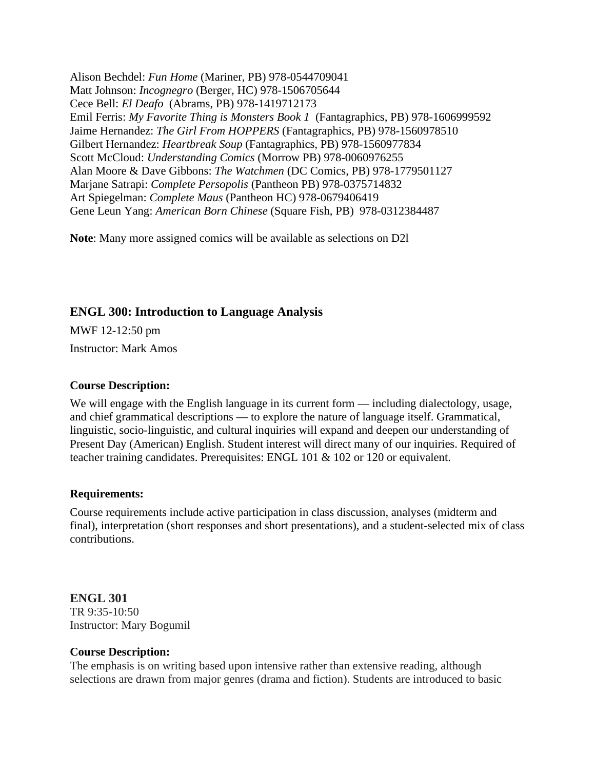Alison Bechdel: *Fun Home* (Mariner, PB) 978-0544709041 Matt Johnson: *Incognegro* (Berger, HC) 978-1506705644 Cece Bell: *El Deafo* (Abrams, PB) 978-1419712173 Emil Ferris: *My Favorite Thing is Monsters Book 1* (Fantagraphics, PB) 978-1606999592 Jaime Hernandez: *The Girl From HOPPERS* (Fantagraphics, PB) 978-1560978510 Gilbert Hernandez: *Heartbreak Soup* (Fantagraphics, PB) 978-1560977834 Scott McCloud: *Understanding Comics* (Morrow PB) 978-0060976255 Alan Moore & Dave Gibbons: *The Watchmen* (DC Comics, PB) 978-1779501127 Marjane Satrapi: *Complete Persopolis* (Pantheon PB) 978-0375714832 Art Spiegelman: *Complete Maus* (Pantheon HC) 978-0679406419 Gene Leun Yang: *American Born Chinese* (Square Fish, PB) 978-0312384487

**Note**: Many more assigned comics will be available as selections on D2l

## **ENGL 300: Introduction to Language Analysis**

MWF 12-12:50 pm Instructor: Mark Amos

### **Course Description:**

We will engage with the English language in its current form — including dialectology, usage, and chief grammatical descriptions — to explore the nature of language itself. Grammatical, linguistic, socio-linguistic, and cultural inquiries will expand and deepen our understanding of Present Day (American) English. Student interest will direct many of our inquiries. Required of teacher training candidates. Prerequisites: ENGL 101 & 102 or 120 or equivalent.

### **Requirements:**

Course requirements include active participation in class discussion, analyses (midterm and final), interpretation (short responses and short presentations), and a student-selected mix of class contributions.

**ENGL 301** TR 9:35-10:50 Instructor: Mary Bogumil

### **Course Description:**

The emphasis is on writing based upon intensive rather than extensive reading, although selections are drawn from major genres (drama and fiction). Students are introduced to basic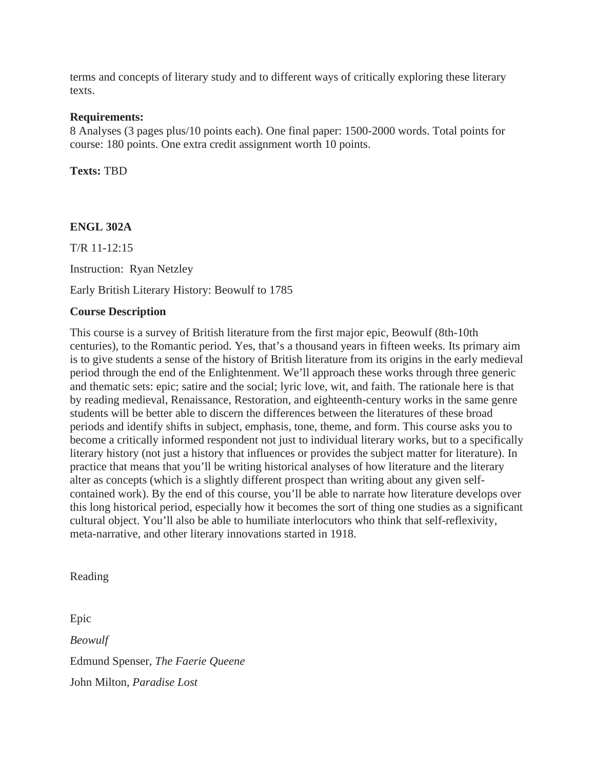terms and concepts of literary study and to different ways of critically exploring these literary texts.

### **Requirements:**

8 Analyses (3 pages plus/10 points each). One final paper: 1500-2000 words. Total points for course: 180 points. One extra credit assignment worth 10 points.

**Texts:** TBD

### **ENGL 302A**

T/R 11-12:15

Instruction: Ryan Netzley

Early British Literary History: Beowulf to 1785

### **Course Description**

This course is a survey of British literature from the first major epic, Beowulf (8th-10th centuries), to the Romantic period. Yes, that's a thousand years in fifteen weeks. Its primary aim is to give students a sense of the history of British literature from its origins in the early medieval period through the end of the Enlightenment. We'll approach these works through three generic and thematic sets: epic; satire and the social; lyric love, wit, and faith. The rationale here is that by reading medieval, Renaissance, Restoration, and eighteenth-century works in the same genre students will be better able to discern the differences between the literatures of these broad periods and identify shifts in subject, emphasis, tone, theme, and form. This course asks you to become a critically informed respondent not just to individual literary works, but to a specifically literary history (not just a history that influences or provides the subject matter for literature). In practice that means that you'll be writing historical analyses of how literature and the literary alter as concepts (which is a slightly different prospect than writing about any given selfcontained work). By the end of this course, you'll be able to narrate how literature develops over this long historical period, especially how it becomes the sort of thing one studies as a significant cultural object. You'll also be able to humiliate interlocutors who think that self-reflexivity, meta-narrative, and other literary innovations started in 1918.

Reading

Epic *Beowulf* Edmund Spenser, *The Faerie Queene* John Milton, *Paradise Lost*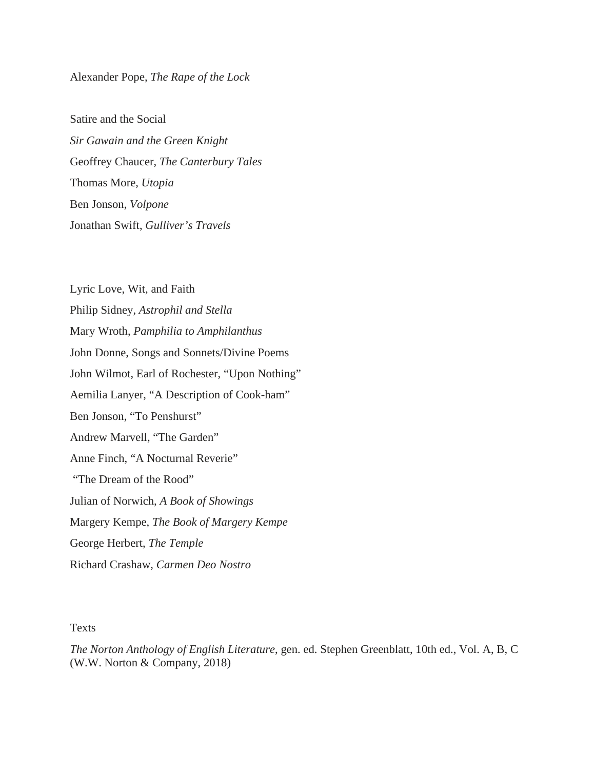Alexander Pope, *The Rape of the Lock*

Satire and the Social *Sir Gawain and the Green Knight* Geoffrey Chaucer, *The Canterbury Tales* Thomas More, *Utopia* Ben Jonson, *Volpone* Jonathan Swift, *Gulliver's Travels*

Lyric Love, Wit, and Faith Philip Sidney, *Astrophil and Stella* Mary Wroth, *Pamphilia to Amphilanthus* John Donne, Songs and Sonnets/Divine Poems John Wilmot, Earl of Rochester, "Upon Nothing" Aemilia Lanyer, "A Description of Cook-ham" Ben Jonson, "To Penshurst" Andrew Marvell, "The Garden" Anne Finch, "A Nocturnal Reverie" "The Dream of the Rood" Julian of Norwich, *A Book of Showings* Margery Kempe, *The Book of Margery Kempe* George Herbert, *The Temple* Richard Crashaw, *Carmen Deo Nostro*

### Texts

*The Norton Anthology of English Literature*, gen. ed. Stephen Greenblatt, 10th ed., Vol. A, B, C (W.W. Norton & Company, 2018)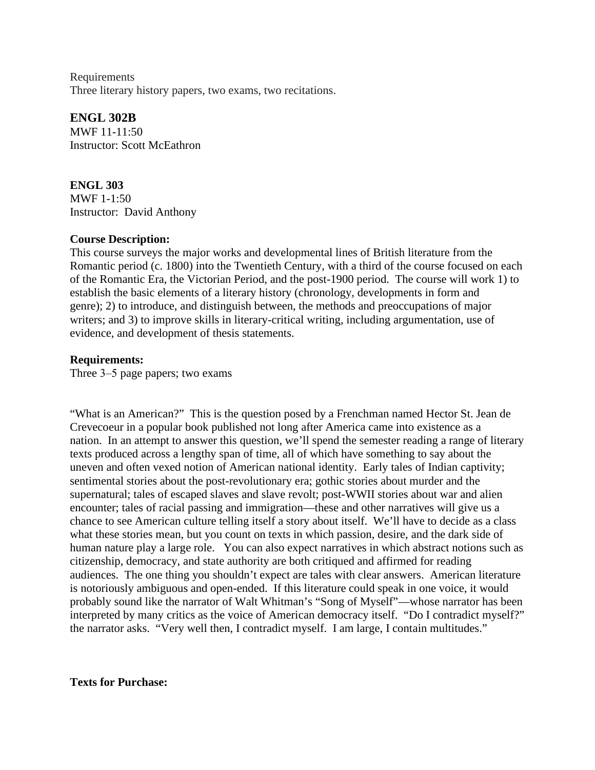**Requirements** Three literary history papers, two exams, two recitations.

**ENGL 302B** MWF 11-11:50 Instructor: Scott McEathron

**ENGL 303** MWF 1-1:50 Instructor: David Anthony

### **Course Description:**

This course surveys the major works and developmental lines of British literature from the Romantic period (c. 1800) into the Twentieth Century, with a third of the course focused on each of the Romantic Era, the Victorian Period, and the post-1900 period. The course will work 1) to establish the basic elements of a literary history (chronology, developments in form and genre); 2) to introduce, and distinguish between, the methods and preoccupations of major writers; and 3) to improve skills in literary-critical writing, including argumentation, use of evidence, and development of thesis statements.

### **Requirements:**

Three 3–5 page papers; two exams

"What is an American?" This is the question posed by a Frenchman named Hector St. Jean de Crevecoeur in a popular book published not long after America came into existence as a nation. In an attempt to answer this question, we'll spend the semester reading a range of literary texts produced across a lengthy span of time, all of which have something to say about the uneven and often vexed notion of American national identity. Early tales of Indian captivity; sentimental stories about the post-revolutionary era; gothic stories about murder and the supernatural; tales of escaped slaves and slave revolt; post-WWII stories about war and alien encounter; tales of racial passing and immigration—these and other narratives will give us a chance to see American culture telling itself a story about itself. We'll have to decide as a class what these stories mean, but you count on texts in which passion, desire, and the dark side of human nature play a large role. You can also expect narratives in which abstract notions such as citizenship, democracy, and state authority are both critiqued and affirmed for reading audiences. The one thing you shouldn't expect are tales with clear answers. American literature is notoriously ambiguous and open-ended. If this literature could speak in one voice, it would probably sound like the narrator of Walt Whitman's "Song of Myself"—whose narrator has been interpreted by many critics as the voice of American democracy itself. "Do I contradict myself?" the narrator asks. "Very well then, I contradict myself. I am large, I contain multitudes."

**Texts for Purchase:**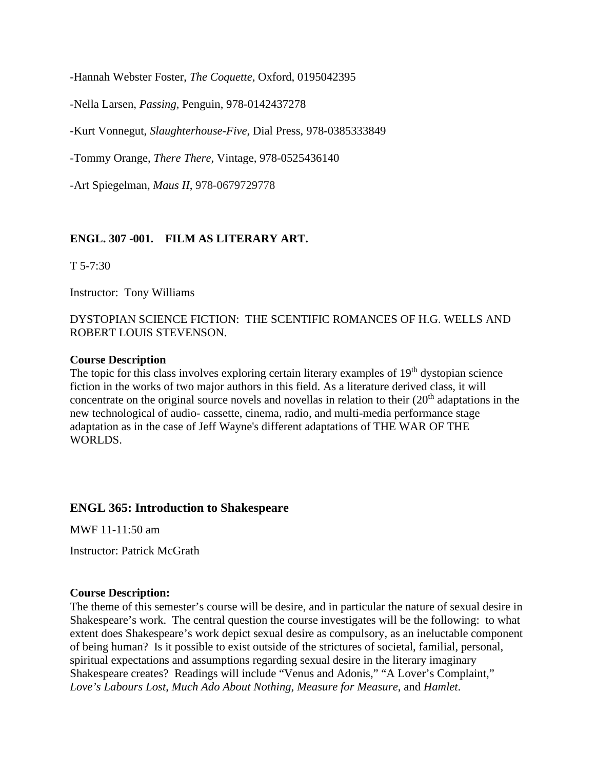-Hannah Webster Foster, *The Coquette*, Oxford, 0195042395

-Nella Larsen, *Passing*, Penguin, 978-0142437278

-Kurt Vonnegut, *Slaughterhouse-Five*, Dial Press, 978-0385333849

-Tommy Orange, *There There*, Vintage, 978-0525436140

-Art Spiegelman, *Maus II*, 978-0679729778

## **ENGL. 307 -001. FILM AS LITERARY ART.**

 $T$  5-7:30

Instructor: Tony Williams

DYSTOPIAN SCIENCE FICTION: THE SCENTIFIC ROMANCES OF H.G. WELLS AND ROBERT LOUIS STEVENSON.

### **Course Description**

The topic for this class involves exploring certain literary examples of  $19<sup>th</sup>$  dystopian science fiction in the works of two major authors in this field. As a literature derived class, it will concentrate on the original source novels and novellas in relation to their  $(20<sup>th</sup>$  adaptations in the new technological of audio- cassette, cinema, radio, and multi-media performance stage adaptation as in the case of Jeff Wayne's different adaptations of THE WAR OF THE WORLDS.

## **ENGL 365: Introduction to Shakespeare**

MWF 11-11:50 am

Instructor: Patrick McGrath

#### **Course Description:**

The theme of this semester's course will be desire, and in particular the nature of sexual desire in Shakespeare's work. The central question the course investigates will be the following: to what extent does Shakespeare's work depict sexual desire as compulsory, as an ineluctable component of being human? Is it possible to exist outside of the strictures of societal, familial, personal, spiritual expectations and assumptions regarding sexual desire in the literary imaginary Shakespeare creates? Readings will include "Venus and Adonis," "A Lover's Complaint," *Love's Labours Lost*, *Much Ado About Nothing*, *Measure for Measure*, and *Hamlet*.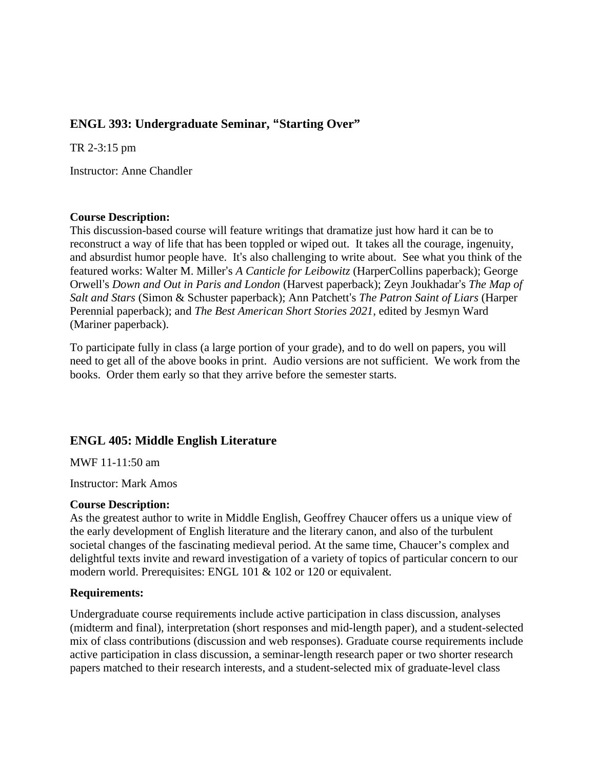## **ENGL 393: Undergraduate Seminar, "Starting Over"**

TR 2-3:15 pm

Instructor: Anne Chandler

## **Course Description:**

This discussion-based course will feature writings that dramatize just how hard it can be to reconstruct a way of life that has been toppled or wiped out. It takes all the courage, ingenuity, and absurdist humor people have. It's also challenging to write about. See what you think of the featured works: Walter M. Miller's *A Canticle for Leibowitz* (HarperCollins paperback); George Orwell's *Down and Out in Paris and London* (Harvest paperback); Zeyn Joukhadar's *The Map of Salt and Stars* (Simon & Schuster paperback); Ann Patchett's *The Patron Saint of Liars* (Harper Perennial paperback); and *The Best American Short Stories 2021*, edited by Jesmyn Ward (Mariner paperback).

To participate fully in class (a large portion of your grade), and to do well on papers, you will need to get all of the above books in print. Audio versions are not sufficient. We work from the books. Order them early so that they arrive before the semester starts.

## **ENGL 405: Middle English Literature**

MWF 11-11:50 am

Instructor: Mark Amos

### **Course Description:**

As the greatest author to write in Middle English, Geoffrey Chaucer offers us a unique view of the early development of English literature and the literary canon, and also of the turbulent societal changes of the fascinating medieval period. At the same time, Chaucer's complex and delightful texts invite and reward investigation of a variety of topics of particular concern to our modern world. Prerequisites: ENGL 101 & 102 or 120 or equivalent.

## **Requirements:**

Undergraduate course requirements include active participation in class discussion, analyses (midterm and final), interpretation (short responses and mid-length paper), and a student-selected mix of class contributions (discussion and web responses). Graduate course requirements include active participation in class discussion, a seminar-length research paper or two shorter research papers matched to their research interests, and a student-selected mix of graduate-level class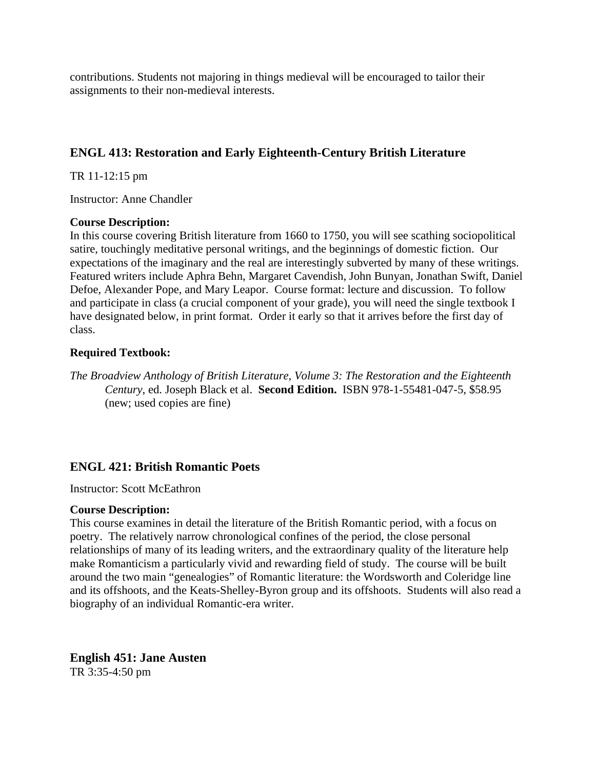contributions. Students not majoring in things medieval will be encouraged to tailor their assignments to their non-medieval interests.

## **ENGL 413: Restoration and Early Eighteenth-Century British Literature**

TR 11-12:15 pm

Instructor: Anne Chandler

## **Course Description:**

In this course covering British literature from 1660 to 1750, you will see scathing sociopolitical satire, touchingly meditative personal writings, and the beginnings of domestic fiction. Our expectations of the imaginary and the real are interestingly subverted by many of these writings. Featured writers include Aphra Behn, Margaret Cavendish, John Bunyan, Jonathan Swift, Daniel Defoe, Alexander Pope, and Mary Leapor. Course format: lecture and discussion. To follow and participate in class (a crucial component of your grade), you will need the single textbook I have designated below, in print format. Order it early so that it arrives before the first day of class.

## **Required Textbook:**

*The Broadview Anthology of British Literature, Volume 3: The Restoration and the Eighteenth Century*, ed. Joseph Black et al. **Second Edition.** ISBN 978-1-55481-047-5, \$58.95 (new; used copies are fine)

## **ENGL 421: British Romantic Poets**

Instructor: Scott McEathron

## **Course Description:**

This course examines in detail the literature of the British Romantic period, with a focus on poetry. The relatively narrow chronological confines of the period, the close personal relationships of many of its leading writers, and the extraordinary quality of the literature help make Romanticism a particularly vivid and rewarding field of study. The course will be built around the two main "genealogies" of Romantic literature: the Wordsworth and Coleridge line and its offshoots, and the Keats-Shelley-Byron group and its offshoots. Students will also read a biography of an individual Romantic-era writer.

**English 451: Jane Austen** TR 3:35-4:50 pm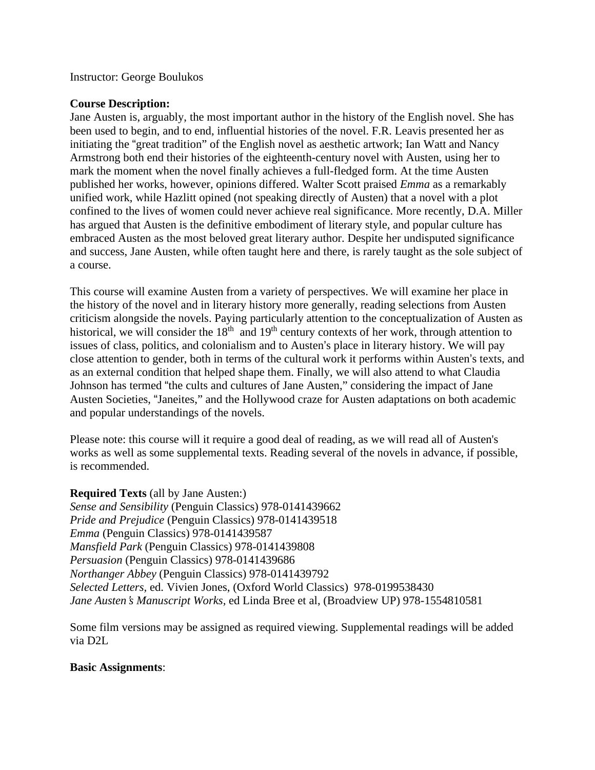### Instructor: George Boulukos

### **Course Description:**

Jane Austen is, arguably, the most important author in the history of the English novel. She has been used to begin, and to end, influential histories of the novel. F.R. Leavis presented her as initiating the "great tradition" of the English novel as aesthetic artwork; Ian Watt and Nancy Armstrong both end their histories of the eighteenth-century novel with Austen, using her to mark the moment when the novel finally achieves a full-fledged form. At the time Austen published her works, however, opinions differed. Walter Scott praised *Emma* as a remarkably unified work, while Hazlitt opined (not speaking directly of Austen) that a novel with a plot confined to the lives of women could never achieve real significance. More recently, D.A. Miller has argued that Austen is the definitive embodiment of literary style, and popular culture has embraced Austen as the most beloved great literary author. Despite her undisputed significance and success, Jane Austen, while often taught here and there, is rarely taught as the sole subject of a course.

This course will examine Austen from a variety of perspectives. We will examine her place in the history of the novel and in literary history more generally, reading selections from Austen criticism alongside the novels. Paying particularly attention to the conceptualization of Austen as historical, we will consider the 18<sup>th</sup> and 19<sup>th</sup> century contexts of her work, through attention to issues of class, politics, and colonialism and to Austen's place in literary history. We will pay close attention to gender, both in terms of the cultural work it performs within Austen's texts, and as an external condition that helped shape them. Finally, we will also attend to what Claudia Johnson has termed "the cults and cultures of Jane Austen," considering the impact of Jane Austen Societies, "Janeites," and the Hollywood craze for Austen adaptations on both academic and popular understandings of the novels.

Please note: this course will it require a good deal of reading, as we will read all of Austen's works as well as some supplemental texts. Reading several of the novels in advance, if possible, is recommended.

**Required Texts** (all by Jane Austen:) *Sense and Sensibility* (Penguin Classics) 978-0141439662 *Pride and Prejudice* (Penguin Classics) 978-0141439518 *Emma* (Penguin Classics) 978-0141439587 *Mansfield Park* (Penguin Classics) 978-0141439808 *Persuasion* (Penguin Classics) 978-0141439686 *Northanger Abbey* (Penguin Classics) 978-0141439792 *Selected Letters,* ed. Vivien Jones, (Oxford World Classics) 978-0199538430 *Jane Austen*'*s Manuscript Works,* ed Linda Bree et al, (Broadview UP) 978-1554810581

Some film versions may be assigned as required viewing. Supplemental readings will be added via D2L

### **Basic Assignments**: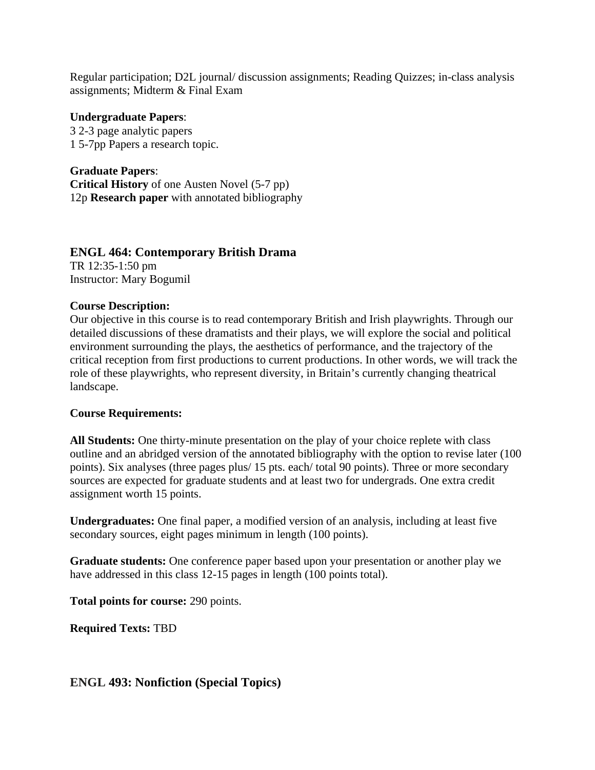Regular participation; D2L journal/ discussion assignments; Reading Quizzes; in-class analysis assignments; Midterm & Final Exam

### **Undergraduate Papers**:

3 2-3 page analytic papers 1 5-7pp Papers a research topic.

**Graduate Papers**: **Critical History** of one Austen Novel (5-7 pp) 12p **Research paper** with annotated bibliography

## **ENGL 464: Contemporary British Drama**

TR 12:35-1:50 pm Instructor: Mary Bogumil

## **Course Description:**

Our objective in this course is to read contemporary British and Irish playwrights. Through our detailed discussions of these dramatists and their plays, we will explore the social and political environment surrounding the plays, the aesthetics of performance, and the trajectory of the critical reception from first productions to current productions. In other words, we will track the role of these playwrights, who represent diversity, in Britain's currently changing theatrical landscape.

## **Course Requirements:**

**All Students:** One thirty-minute presentation on the play of your choice replete with class outline and an abridged version of the annotated bibliography with the option to revise later (100 points). Six analyses (three pages plus/ 15 pts. each/ total 90 points). Three or more secondary sources are expected for graduate students and at least two for undergrads. One extra credit assignment worth 15 points.

**Undergraduates:** One final paper, a modified version of an analysis, including at least five secondary sources, eight pages minimum in length (100 points).

**Graduate students:** One conference paper based upon your presentation or another play we have addressed in this class 12-15 pages in length (100 points total).

**Total points for course:** 290 points.

**Required Texts:** TBD

**ENGL 493: Nonfiction (Special Topics)**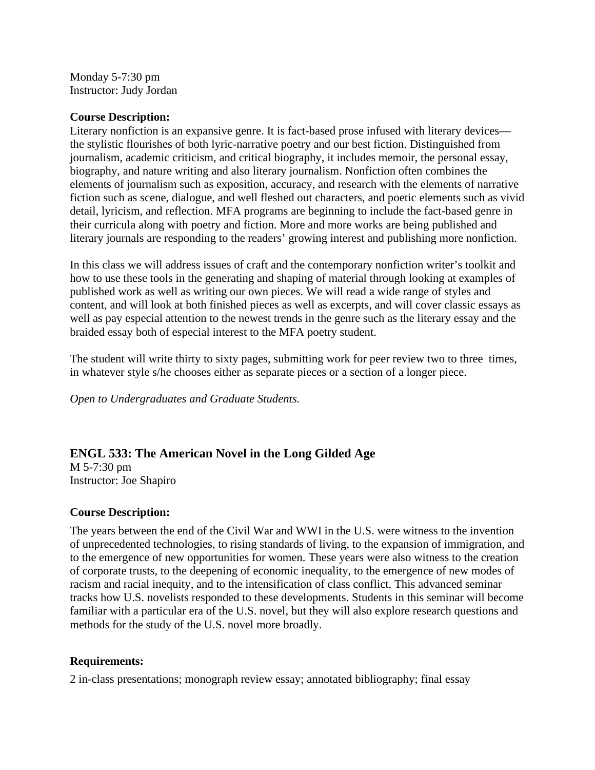Monday 5-7:30 pm Instructor: Judy Jordan

### **Course Description:**

Literary nonfiction is an expansive genre. It is fact-based prose infused with literary devices the stylistic flourishes of both lyric-narrative poetry and our best fiction. Distinguished from journalism, academic criticism, and critical biography, it includes memoir, the personal essay, biography, and nature writing and also literary journalism. Nonfiction often combines the elements of journalism such as exposition, accuracy, and research with the elements of narrative fiction such as scene, dialogue, and well fleshed out characters, and poetic elements such as vivid detail, lyricism, and reflection. MFA programs are beginning to include the fact-based genre in their curricula along with poetry and fiction. More and more works are being published and literary journals are responding to the readers' growing interest and publishing more nonfiction.

In this class we will address issues of craft and the contemporary nonfiction writer's toolkit and how to use these tools in the generating and shaping of material through looking at examples of published work as well as writing our own pieces. We will read a wide range of styles and content, and will look at both finished pieces as well as excerpts, and will cover classic essays as well as pay especial attention to the newest trends in the genre such as the literary essay and the braided essay both of especial interest to the MFA poetry student.

The student will write thirty to sixty pages, submitting work for peer review two to three times, in whatever style s/he chooses either as separate pieces or a section of a longer piece.

*Open to Undergraduates and Graduate Students.*

## **ENGL 533: The American Novel in the Long Gilded Age**

M 5-7:30 pm Instructor: Joe Shapiro

### **Course Description:**

The years between the end of the Civil War and WWI in the U.S. were witness to the invention of unprecedented technologies, to rising standards of living, to the expansion of immigration, and to the emergence of new opportunities for women. These years were also witness to the creation of corporate trusts, to the deepening of economic inequality, to the emergence of new modes of racism and racial inequity, and to the intensification of class conflict. This advanced seminar tracks how U.S. novelists responded to these developments. Students in this seminar will become familiar with a particular era of the U.S. novel, but they will also explore research questions and methods for the study of the U.S. novel more broadly.

### **Requirements:**

2 in-class presentations; monograph review essay; annotated bibliography; final essay